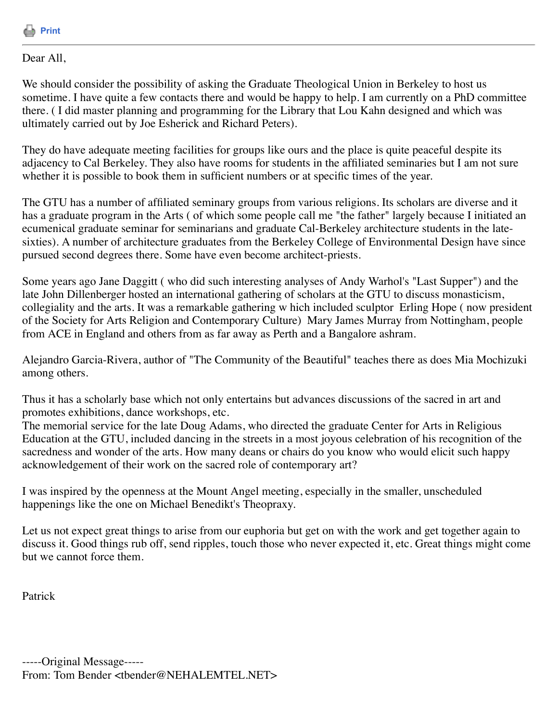

## Dear All,

We should consider the possibility of asking the Graduate Theological Union in Berkeley to host us sometime. I have quite a few contacts there and would be happy to help. I am currently on a PhD committee there. ( I did master planning and programming for the Library that Lou Kahn designed and which was ultimately carried out by Joe Esherick and Richard Peters).

They do have adequate meeting facilities for groups like ours and the place is quite peaceful despite its adjacency to Cal Berkeley. They also have rooms for students in the affiliated seminaries but I am not sure whether it is possible to book them in sufficient numbers or at specific times of the year.

The GTU has a number of affiliated seminary groups from various religions. Its scholars are diverse and it has a graduate program in the Arts ( of which some people call me "the father" largely because I initiated an ecumenical graduate seminar for seminarians and graduate Cal-Berkeley architecture students in the latesixties). A number of architecture graduates from the Berkeley College of Environmental Design have since pursued second degrees there. Some have even become architect-priests.

Some years ago Jane Daggitt ( who did such interesting analyses of Andy Warhol's "Last Supper") and the late John Dillenberger hosted an international gathering of scholars at the GTU to discuss monasticism, collegiality and the arts. It was a remarkable gathering w hich included sculptor Erling Hope ( now president of the Society for Arts Religion and Contemporary Culture) Mary James Murray from Nottingham, people from ACE in England and others from as far away as Perth and a Bangalore ashram.

Alejandro Garcia-Rivera, author of "The Community of the Beautiful" teaches there as does Mia Mochizuki among others.

Thus it has a scholarly base which not only entertains but advances discussions of the sacred in art and promotes exhibitions, dance workshops, etc.

The memorial service for the late Doug Adams, who directed the graduate Center for Arts in Religious Education at the GTU, included dancing in the streets in a most joyous celebration of his recognition of the sacredness and wonder of the arts. How many deans or chairs do you know who would elicit such happy acknowledgement of their work on the sacred role of contemporary art?

I was inspired by the openness at the Mount Angel meeting, especially in the smaller, unscheduled happenings like the one on Michael Benedikt's Theopraxy.

Let us not expect great things to arise from our euphoria but get on with the work and get together again to discuss it. Good things rub off, send ripples, touch those who never expected it, etc. Great things might come but we cannot force them.

Patrick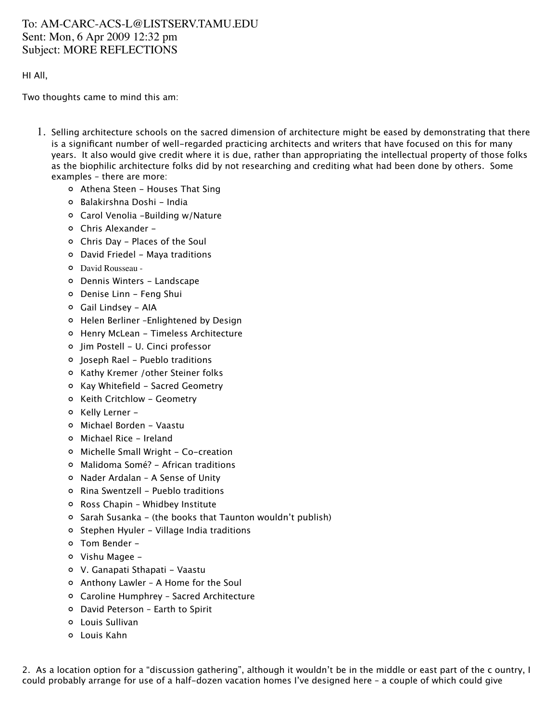## To: AM-CARC-ACS-L@LISTSERV.TAMU.EDU Sent: Mon, 6 Apr 2009 12:32 pm Subject: MORE REFLECTIONS

## HI All,

Two thoughts came to mind this am:

- 1. Selling architecture schools on the sacred dimension of architecture might be eased by demonstrating that there is a significant number of well-regarded practicing architects and writers that have focused on this for many years. It also would give credit where it is due, rather than appropriating the intellectual property of those folks as the biophilic architecture folks did by not researching and crediting what had been done by others. Some examples – there are more:
	- Athena Steen Houses That Sing
	- o Balakirshna Doshi India
	- Carol Venolia -Building w/Nature
	- Chris Alexander -
	- Chris Day Places of the Soul
	- David Friedel Maya traditions
	- David Rousseau -
	- Dennis Winters Landscape
	- Denise Linn Feng Shui
	- Gail Lindsey AIA
	- Helen Berliner –Enlightened by Design
	- Henry McLean Timeless Architecture
	- Jim Postell U. Cinci professor
	- Joseph Rael Pueblo traditions
	- o Kathy Kremer / other Steiner folks
	- o Kay Whitefield Sacred Geometry
	- o Keith Critchlow Geometry
	- o Kelly Lerner -
	- Michael Borden Vaastu
	- Michael Rice Ireland
	- Michelle Small Wright Co-creation
	- Malidoma Somé? African traditions
	- Nader Ardalan A Sense of Unity
	- Rina Swentzell Pueblo traditions
	- Ross Chapin Whidbey Institute
	- Sarah Susanka (the books that Taunton wouldn't publish)
	- o Stephen Hyuler Village India traditions
	- Tom Bender -
	- Vishu Magee -
	- V. Ganapati Sthapati Vaastu
	- Anthony Lawler A Home for the Soul
	- Caroline Humphrey Sacred Architecture
	- David Peterson Earth to Spirit
	- Louis Sullivan
	- Louis Kahn

2. As a location option for a "discussion gathering", although it wouldn't be in the middle or east part of the c ountry, I could probably arrange for use of a half-dozen vacation homes I've designed here – a couple of which could give